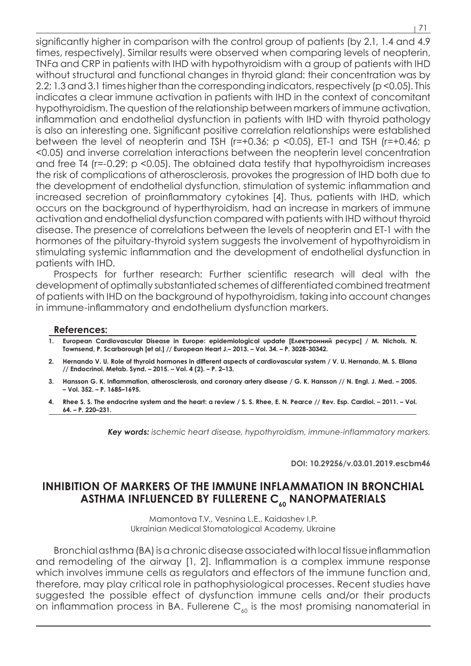significantly higher in comparison with the control group of patients (by 2.1, 1.4 and 4.9) times, respectively). Similar results were observed when comparing levels of neopterin, TNFα and CRP in patients with IHD with hypothyroidism with a group of patients with IHD without structural and functional changes in thyroid gland: their concentration was by 2.2; 1.3 and 3.1 times higher than the corresponding indicators, respectively (p <0.05). This indicates a clear immune activation in patients with IHD in the context of concomitant hypothyroidism. The question of the relationship between markers of immune activation, inflammation and endothelial dysfunction in patients with IHD with thyroid pathology is also an interesting one. Significant positive correlation relationships were established between the level of neopterin and TSH (r=+0.36; p <0.05), ET-1 and TSH (r=+0.46; p <0.05) and inverse correlation interactions between the neopterin level concentration and free T4 (r=-0.29; p <0.05). The obtained data testify that hypothyroidism increases the risk of complications of atherosclerosis, provokes the progression of IHD both due to the development of endothelial dysfunction, stimulation of systemic inflammation and increased secretion of proinflammatory cytokines [4]. Thus, patients with IHD, which occurs on the background of hyperthyroidism, had an increase in markers of immune activation and endothelial dysfunction compared with patients with IHD without thyroid disease. The presence of correlations between the levels of neopterin and ET-1 with the hormones of the pituitary-thyroid system suggests the involvement of hypothyroidism in stimulating systemic inflammation and the development of endothelial dysfunction in patients with IHD.

Prospects for further research: Further scientific research will deal with the development of optimally substantiated schemes of differentiated combined treatment of patients with IHD on the background of hypothyroidism, taking into account changes in immune-inflammatory and endothelium dysfunction markers.

### **References:**

- **1. European Cardiovascular Disease in Europe: epidemiological update [Електронний ресурс] / M. Nichols, N. Townsend, P. Scarborough [et al.] // European Heart J.– 2013. – Vol. 34. – P. 3028-30342.**
- **2. Hernando V. U. Role of thyroid hormones in different aspects of cardiovascular system / V. U. Hernando, M. S. Eliana // Endocrinol. Metab. Synd. – 2015. – Vol. 4 (2). – Р. 2–13.**
- **3. Hansson G. K. Inflammation, atherosclerosis, and coronary artery disease / G. K. Hansson // N. Engl. J. Med. 2005. – Vol. 352. – P. 1685–1695.**
- **4. Rhee S. S. The endocrine system and the heart: a review / S. S. Rhee, E. N. Pearce // Rev. Esp. Cardiol. 2011. Vol. 64. – Р. 220–231.**

*Key words: ischemic heart disease, hypothyroidism, immune-inflammatory markers.*

**DOI: 10.29256/v.03.01.2019.escbm46**

# **INHIBITION OF MARKERS OF THE IMMUNE INFLAMMATION IN BRONCHIAL**  ASTHMA INFLUENCED BY FULLERENE C<sub>60</sub> NANOPMATERIALS

Mamontova T.V., Vesnina L.E., Kaidashev I.P. Ukrainian Medical Stomatological Academy, Ukraine

Bronchial asthma (BA) is a chronic disease associated with local tissue inflammation and remodeling of the airway [1, 2]. Inflammation is a complex immune response which involves immune cells as regulators and effectors of the immune function and, therefore, may play critical role in pathophysiological processes. Recent studies have suggested the possible effect of dysfunction immune cells and/or their products on inflammation process in BA. Fullerene  $C_{60}$  is the most promising nanomaterial in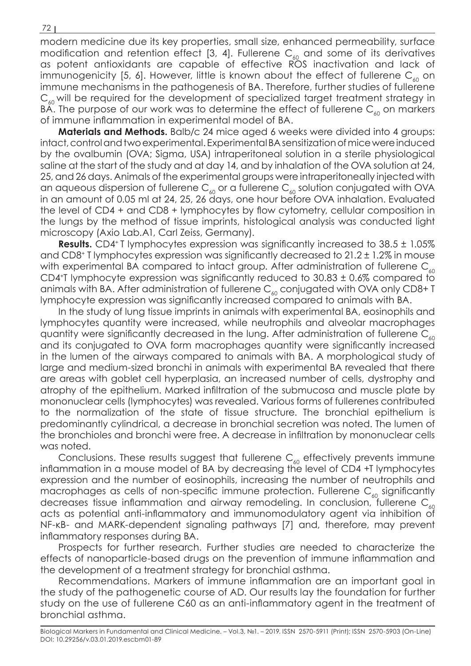modern medicine due its key properties, small size, enhanced permeability, surface modification and retention effect [3, 4]. Fullerene  $C_{60}$  and some of its derivatives as potent antioxidants are capable of effective ROS inactivation and lack of immunogenicity [5, 6]. However, little is known about the effect of fullerene  $C_{\alpha}$  on immune mechanisms in the pathogenesis of BA. Therefore, further studies of fullerene  $C_{60}$  will be required for the development of specialized target treatment strategy in BA. The purpose of our work was to determine the effect of fullerene  $C_{60}$  on markers of immune inflammation in experimental model of BA.

**Materials and Methods.** Balb/c 24 mice aged 6 weeks were divided into 4 groups: intact, control and two experimental. Experimental BA sensitization of mice were induced by the ovalbumin (OVA; Sigma, USA) intraperitoneal solution in a sterile physiological saline at the start of the study and at day 14, and by inhalation of the OVA solution at 24, 25, and 26 days. Animals of the experimental groups were intraperitoneally injected with an aqueous dispersion of fullerene  $\mathsf{C}_{_{60}}$  or a fullerene  $\mathsf{C}_{_{60}}$  solution conjugated with OVA in an amount of 0.05 ml at 24, 25, 26 days, one hour before OVA inhalation. Evaluated the level of CD4 + and CD8 + lymphocytes by flow cytometry, cellular composition in the lungs by the method of tissue imprints, histological analysis was conducted light microscopy (Axio Lab.A1, Carl Zeiss, Germany).

**Results.** CD4<sup>+</sup> T lymphocytes expression was significantly increased to 38.5 ± 1.05% and CD8+ T lymphocytes expression was significantly decreased to 21.2 ± 1.2% in mouse with experimental BA compared to intact group. After administration of fullerene  $C_{60}$ CD4<sup>+</sup>T lymphocyte expression was significantly reduced to  $30.83 \pm 0.6\%$  compared to animals with BA. After administration of fullerene  $C_{60}$  conjugated with OVA only CD8+ T lymphocyte expression was significantly increased compared to animals with BA.

In the study of lung tissue imprints in animals with experimental BA, eosinophils and lymphocytes quantity were increased, while neutrophils and alveolar macrophages quantity were significantly decreased in the lung. After administration of fullerene  $C_{60}$ and its conjugated to OVA form macrophages quantity were significantly increased in the lumen of the airways compared to animals with BA. A morphological study of large and medium-sized bronchi in animals with experimental BA revealed that there are areas with goblet cell hyperplasia, an increased number of cells, dystrophy and atrophy of the epithelium. Marked infiltration of the submucosa and muscle plate by mononuclear cells (lymphocytes) was revealed. Various forms of fullerenes contributed to the normalization of the state of tissue structure. The bronchial epithelium is predominantly cylindrical, a decrease in bronchial secretion was noted. The lumen of the bronchioles and bronchi were free. A decrease in infiltration by mononuclear cells was noted.

Conclusions. These results suggest that fullerene  $C_{60}$  effectively prevents immune inflammation in a mouse model of BA by decreasing the level of CD4 +T lymphocytes expression and the number of eosinophils, increasing the number of neutrophils and macrophages as cells of non-specific immune protection. Fullerene  $C_{60}$  significantly decreases tissue inflammation and airway remodeling. In conclusion, fullerene  $C_{60}$ acts as potential anti-inflammatory and immunomodulatory agent via inhibition of NF-κB- and MARK-dependent signaling pathways [7] and, therefore, may prevent inflammatory responses during BA.

Prospects for further research. Further studies are needed to characterize the effects of nanoparticle-based drugs on the prevention of immune inflammation and the development of a treatment strategy for bronchial asthma.

Recommendations. Markers of immune inflammation are an important goal in the study of the pathogenetic course of AD. Our results lay the foundation for further study on the use of fullerene C60 as an anti-inflammatory agent in the treatment of bronchial asthma.